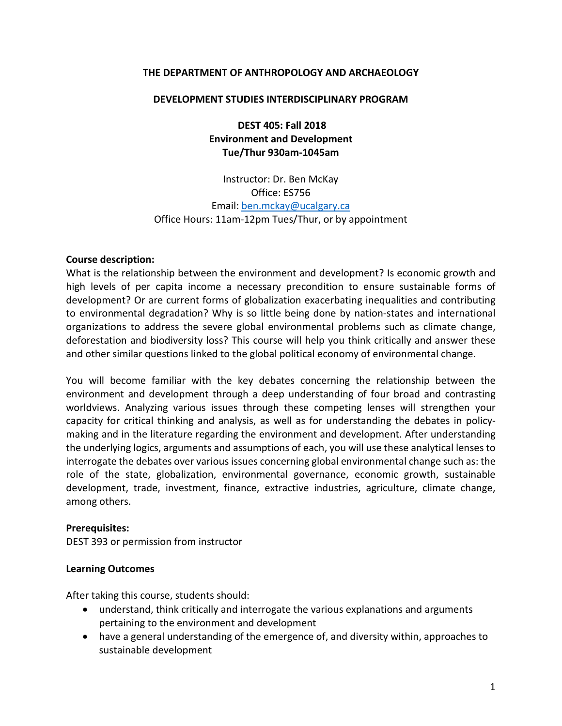#### **THE DEPARTMENT OF ANTHROPOLOGY AND ARCHAEOLOGY**

#### **DEVELOPMENT STUDIES INTERDISCIPLINARY PROGRAM**

**DEST 405: Fall 2018 Environment and Development Tue/Thur 930am-1045am**

Instructor: Dr. Ben McKay Office: ES756 Email: [ben.mckay@ucalgary.ca](mailto:ben.mckay@ucalgary.ca) Office Hours: 11am-12pm Tues/Thur, or by appointment

#### **Course description:**

What is the relationship between the environment and development? Is economic growth and high levels of per capita income a necessary precondition to ensure sustainable forms of development? Or are current forms of globalization exacerbating inequalities and contributing to environmental degradation? Why is so little being done by nation-states and international organizations to address the severe global environmental problems such as climate change, deforestation and biodiversity loss? This course will help you think critically and answer these and other similar questions linked to the global political economy of environmental change.

You will become familiar with the key debates concerning the relationship between the environment and development through a deep understanding of four broad and contrasting worldviews. Analyzing various issues through these competing lenses will strengthen your capacity for critical thinking and analysis, as well as for understanding the debates in policymaking and in the literature regarding the environment and development. After understanding the underlying logics, arguments and assumptions of each, you will use these analytical lenses to interrogate the debates over various issues concerning global environmental change such as: the role of the state, globalization, environmental governance, economic growth, sustainable development, trade, investment, finance, extractive industries, agriculture, climate change, among others.

#### **Prerequisites:**

DEST 393 or permission from instructor

#### **Learning Outcomes**

After taking this course, students should:

- understand, think critically and interrogate the various explanations and arguments pertaining to the environment and development
- have a general understanding of the emergence of, and diversity within, approaches to sustainable development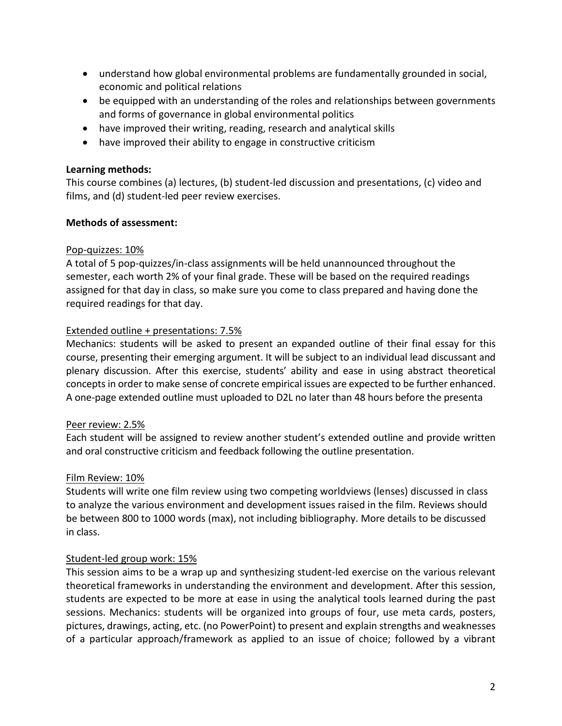- understand how global environmental problems are fundamentally grounded in social, economic and political relations
- be equipped with an understanding of the roles and relationships between governments and forms of governance in global environmental politics
- have improved their writing, reading, research and analytical skills
- have improved their ability to engage in constructive criticism

#### **Learning methods:**

This course combines (a) lectures, (b) student-led discussion and presentations, (c) video and films, and (d) student-led peer review exercises.

#### **Methods of assessment:**

#### Pop-quizzes: 10%

A total of 5 pop-quizzes/in-class assignments will be held unannounced throughout the semester, each worth 2% of your final grade. These will be based on the required readings assigned for that day in class, so make sure you come to class prepared and having done the required readings for that day.

#### Extended outline + presentations: 7.5%

Mechanics: students will be asked to present an expanded outline of their final essay for this course, presenting their emerging argument. It will be subject to an individual lead discussant and plenary discussion. After this exercise, students' ability and ease in using abstract theoretical concepts in order to make sense of concrete empirical issues are expected to be further enhanced. A one-page extended outline must uploaded to D2L no later than 48 hours before the presenta

## Peer review: 2.5%

Each student will be assigned to review another student's extended outline and provide written and oral constructive criticism and feedback following the outline presentation.

## Film Review: 10%

Students will write one film review using two competing worldviews (lenses) discussed in class to analyze the various environment and development issues raised in the film. Reviews should be between 800 to 1000 words (max), not including bibliography. More details to be discussed in class.

## Student-led group work: 15%

This session aims to be a wrap up and synthesizing student-led exercise on the various relevant theoretical frameworks in understanding the environment and development. After this session, students are expected to be more at ease in using the analytical tools learned during the past sessions. Mechanics: students will be organized into groups of four, use meta cards, posters, pictures, drawings, acting, etc. (no PowerPoint) to present and explain strengths and weaknesses of a particular approach/framework as applied to an issue of choice; followed by a vibrant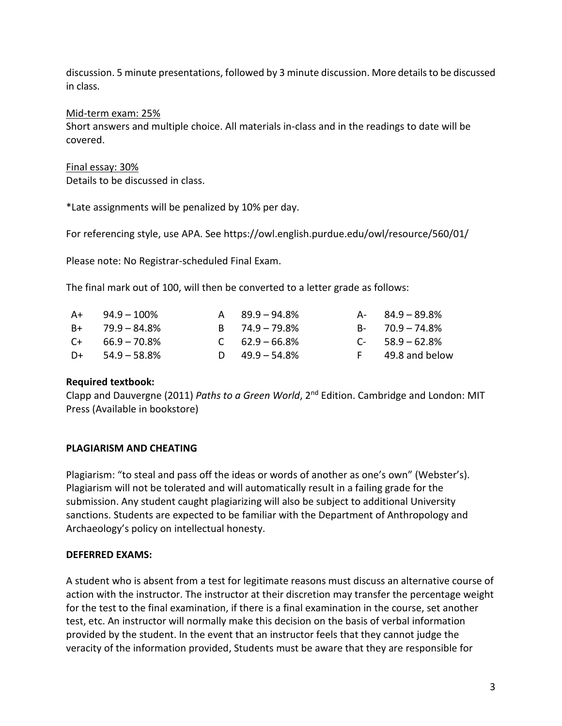discussion. 5 minute presentations, followed by 3 minute discussion. More details to be discussed in class.

## Mid-term exam: 25%

Short answers and multiple choice. All materials in-class and in the readings to date will be covered.

#### Final essay: 30%

Details to be discussed in class.

\*Late assignments will be penalized by 10% per day.

For referencing style, use APA. See https://owl.english.purdue.edu/owl/resource/560/01/

Please note: No Registrar-scheduled Final Exam.

The final mark out of 100, will then be converted to a letter grade as follows:

| $A+$ 94.9 – 100%     | $A = 89.9 - 94.8\%$ | A- 84.9 – 89.8%     |
|----------------------|---------------------|---------------------|
| $B+$ 79.9 – 84.8%    | $B = 74.9 - 79.8\%$ | $B - 70.9 - 74.8\%$ |
| $C_{+}$ 66.9 – 70.8% | $C = 62.9 - 66.8\%$ | $C-58.9-62.8%$      |
| $D+$ 54.9 – 58.8%    | D $49.9 - 54.8\%$   | F 49.8 and below    |

#### **Required textbook:**

Clapp and Dauvergne (2011) *Paths to a Green World*, 2<sup>nd</sup> Edition. Cambridge and London: MIT Press (Available in bookstore)

## **PLAGIARISM AND CHEATING**

Plagiarism: "to steal and pass off the ideas or words of another as one's own" (Webster's). Plagiarism will not be tolerated and will automatically result in a failing grade for the submission. Any student caught plagiarizing will also be subject to additional University sanctions. Students are expected to be familiar with the Department of Anthropology and Archaeology's policy on intellectual honesty.

## **DEFERRED EXAMS:**

A student who is absent from a test for legitimate reasons must discuss an alternative course of action with the instructor. The instructor at their discretion may transfer the percentage weight for the test to the final examination, if there is a final examination in the course, set another test, etc. An instructor will normally make this decision on the basis of verbal information provided by the student. In the event that an instructor feels that they cannot judge the veracity of the information provided, Students must be aware that they are responsible for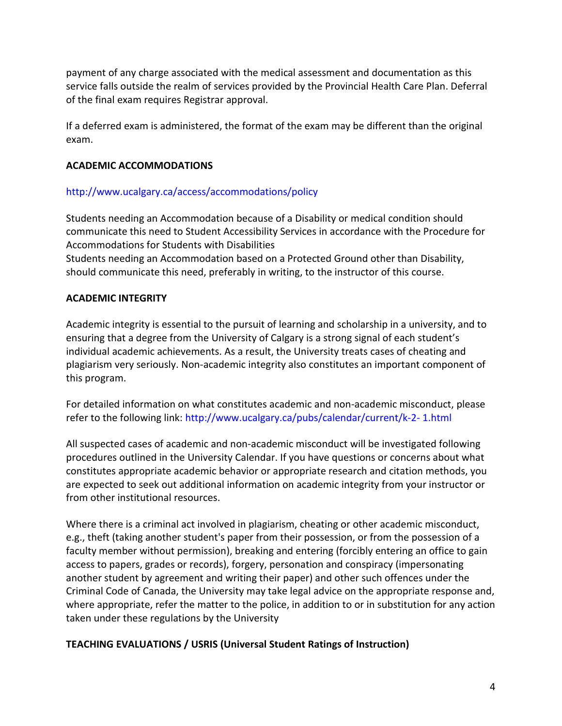payment of any charge associated with the medical assessment and documentation as this service falls outside the realm of services provided by the Provincial Health Care Plan. Deferral of the final exam requires Registrar approval.

If a deferred exam is administered, the format of the exam may be different than the original exam.

## **ACADEMIC ACCOMMODATIONS**

# http://www.ucalgary.ca/access/accommodations/policy

Students needing an Accommodation because of a Disability or medical condition should communicate this need to Student Accessibility Services in accordance with the Procedure for Accommodations for Students with Disabilities

Students needing an Accommodation based on a Protected Ground other than Disability, should communicate this need, preferably in writing, to the instructor of this course.

# **ACADEMIC INTEGRITY**

Academic integrity is essential to the pursuit of learning and scholarship in a university, and to ensuring that a degree from the University of Calgary is a strong signal of each student's individual academic achievements. As a result, the University treats cases of cheating and plagiarism very seriously. Non-academic integrity also constitutes an important component of this program.

For detailed information on what constitutes academic and non-academic misconduct, please refer to the following link: http://www.ucalgary.ca/pubs/calendar/current/k-2- 1.html

All suspected cases of academic and non-academic misconduct will be investigated following procedures outlined in the University Calendar. If you have questions or concerns about what constitutes appropriate academic behavior or appropriate research and citation methods, you are expected to seek out additional information on academic integrity from your instructor or from other institutional resources.

Where there is a criminal act involved in plagiarism, cheating or other academic misconduct, e.g., theft (taking another student's paper from their possession, or from the possession of a faculty member without permission), breaking and entering (forcibly entering an office to gain access to papers, grades or records), forgery, personation and conspiracy (impersonating another student by agreement and writing their paper) and other such offences under the Criminal Code of Canada, the University may take legal advice on the appropriate response and, where appropriate, refer the matter to the police, in addition to or in substitution for any action taken under these regulations by the University

## **TEACHING EVALUATIONS / USRIS (Universal Student Ratings of Instruction)**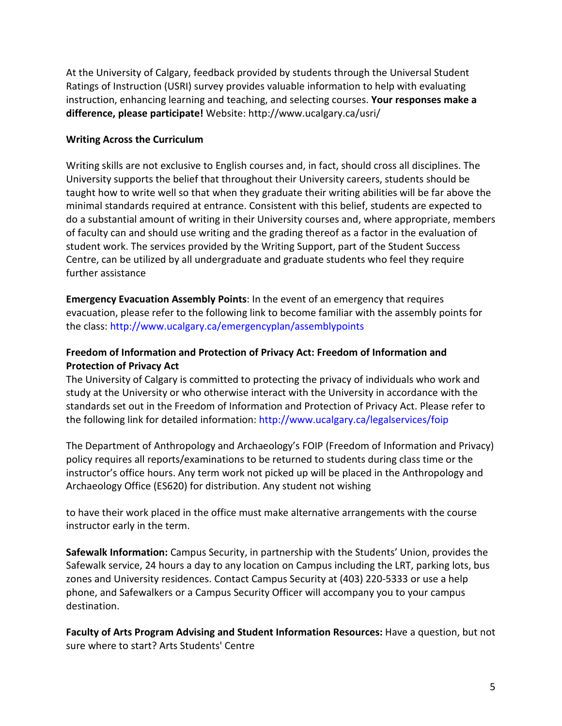At the University of Calgary, feedback provided by students through the Universal Student Ratings of Instruction (USRI) survey provides valuable information to help with evaluating instruction, enhancing learning and teaching, and selecting courses. **Your responses make a difference, please participate!** Website: http://www.ucalgary.ca/usri/

## **Writing Across the Curriculum**

Writing skills are not exclusive to English courses and, in fact, should cross all disciplines. The University supports the belief that throughout their University careers, students should be taught how to write well so that when they graduate their writing abilities will be far above the minimal standards required at entrance. Consistent with this belief, students are expected to do a substantial amount of writing in their University courses and, where appropriate, members of faculty can and should use writing and the grading thereof as a factor in the evaluation of student work. The services provided by the Writing Support, part of the Student Success Centre, can be utilized by all undergraduate and graduate students who feel they require further assistance

**Emergency Evacuation Assembly Points**: In the event of an emergency that requires evacuation, please refer to the following link to become familiar with the assembly points for the class: http://www.ucalgary.ca/emergencyplan/assemblypoints

# **Freedom of Information and Protection of Privacy Act: Freedom of Information and Protection of Privacy Act**

The University of Calgary is committed to protecting the privacy of individuals who work and study at the University or who otherwise interact with the University in accordance with the standards set out in the Freedom of Information and Protection of Privacy Act. Please refer to the following link for detailed information: http://www.ucalgary.ca/legalservices/foip

The Department of Anthropology and Archaeology's FOIP (Freedom of Information and Privacy) policy requires all reports/examinations to be returned to students during class time or the instructor's office hours. Any term work not picked up will be placed in the Anthropology and Archaeology Office (ES620) for distribution. Any student not wishing

to have their work placed in the office must make alternative arrangements with the course instructor early in the term.

**Safewalk Information:** Campus Security, in partnership with the Students' Union, provides the Safewalk service, 24 hours a day to any location on Campus including the LRT, parking lots, bus zones and University residences. Contact Campus Security at (403) 220-5333 or use a help phone, and Safewalkers or a Campus Security Officer will accompany you to your campus destination.

**Faculty of Arts Program Advising and Student Information Resources:** Have a question, but not sure where to start? Arts Students' Centre